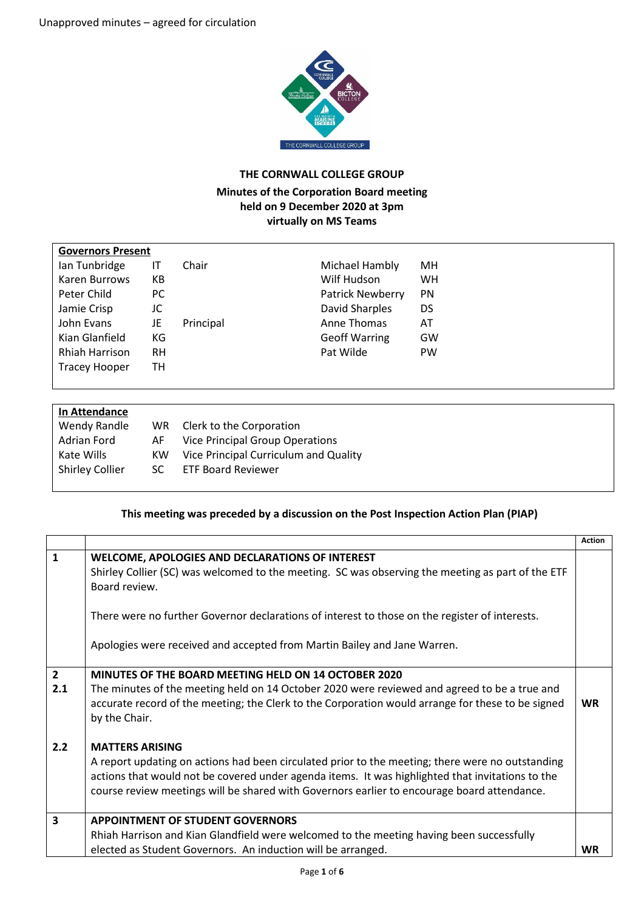$\overline{1}$ 



## **THE CORNWALL COLLEGE GROUP**

## **Minutes of the Corporation Board meeting held on 9 December 2020 at 3pm virtually on MS Teams**

| <b>Governors Present</b> |           |           |                               |
|--------------------------|-----------|-----------|-------------------------------|
| Ian Tunbridge            | IΤ        | Chair     | Michael Hambly<br>MН          |
| Karen Burrows            | KВ        |           | Wilf Hudson<br><b>WH</b>      |
| Peter Child              | PC.       |           | <b>Patrick Newberry</b><br>PN |
| Jamie Crisp              | JC        |           | David Sharples<br>DS          |
| John Evans               | JE        | Principal | Anne Thomas<br>AT             |
| Kian Glanfield           | КG        |           | <b>Geoff Warring</b><br>GW    |
| <b>Rhiah Harrison</b>    | <b>RH</b> |           | Pat Wilde<br><b>PW</b>        |
| <b>Tracey Hooper</b>     | TН        |           |                               |
|                          |           |           |                               |

| In Attendance          |     |                                        |
|------------------------|-----|----------------------------------------|
| Wendy Randle           | WR. | Clerk to the Corporation               |
| Adrian Ford            | AF. | <b>Vice Principal Group Operations</b> |
| Kate Wills             | KW. | Vice Principal Curriculum and Quality  |
| <b>Shirley Collier</b> | SC. | <b>ETF Board Reviewer</b>              |
|                        |     |                                        |

## **This meeting was preceded by a discussion on the Post Inspection Action Plan (PIAP)**

|                    |                                                                                                                                                                                                                                                                                                                               | <b>Action</b> |
|--------------------|-------------------------------------------------------------------------------------------------------------------------------------------------------------------------------------------------------------------------------------------------------------------------------------------------------------------------------|---------------|
| $\mathbf{1}$       | WELCOME, APOLOGIES AND DECLARATIONS OF INTEREST<br>Shirley Collier (SC) was welcomed to the meeting. SC was observing the meeting as part of the ETF<br>Board review.<br>There were no further Governor declarations of interest to those on the register of interests.                                                       |               |
|                    | Apologies were received and accepted from Martin Bailey and Jane Warren.                                                                                                                                                                                                                                                      |               |
| $2^{\circ}$<br>2.1 | MINUTES OF THE BOARD MEETING HELD ON 14 OCTOBER 2020<br>The minutes of the meeting held on 14 October 2020 were reviewed and agreed to be a true and<br>accurate record of the meeting; the Clerk to the Corporation would arrange for these to be signed<br>by the Chair.                                                    | <b>WR</b>     |
| 2.2                | <b>MATTERS ARISING</b><br>A report updating on actions had been circulated prior to the meeting; there were no outstanding<br>actions that would not be covered under agenda items. It was highlighted that invitations to the<br>course review meetings will be shared with Governors earlier to encourage board attendance. |               |
| 3                  | <b>APPOINTMENT OF STUDENT GOVERNORS</b>                                                                                                                                                                                                                                                                                       |               |
|                    | Rhiah Harrison and Kian Glandfield were welcomed to the meeting having been successfully                                                                                                                                                                                                                                      |               |
|                    | elected as Student Governors. An induction will be arranged.                                                                                                                                                                                                                                                                  | WR            |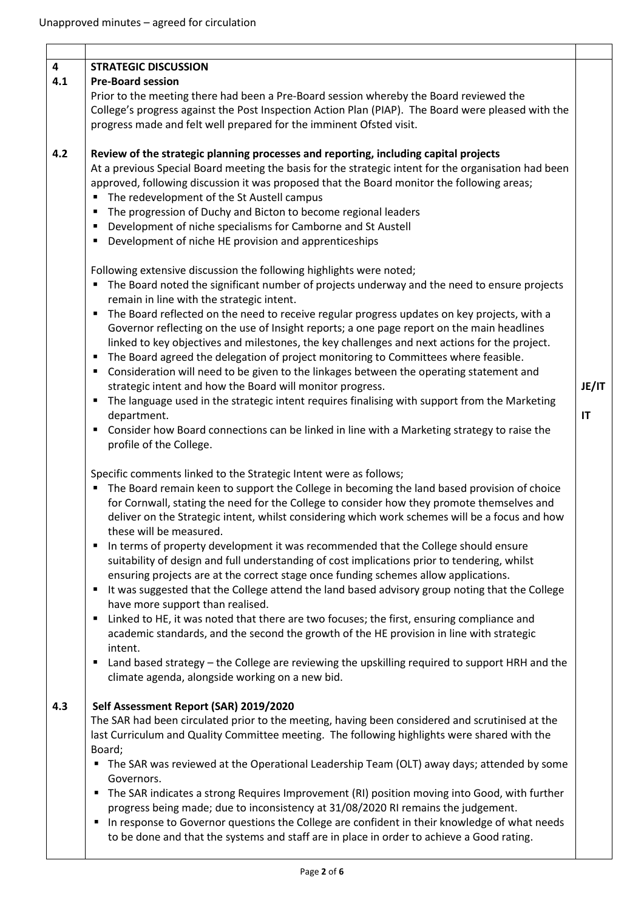| $\overline{\mathbf{4}}$ | <b>STRATEGIC DISCUSSION</b>                                                                          |       |
|-------------------------|------------------------------------------------------------------------------------------------------|-------|
| 4.1                     | <b>Pre-Board session</b>                                                                             |       |
|                         | Prior to the meeting there had been a Pre-Board session whereby the Board reviewed the               |       |
|                         | College's progress against the Post Inspection Action Plan (PIAP). The Board were pleased with the   |       |
|                         | progress made and felt well prepared for the imminent Ofsted visit.                                  |       |
| 4.2                     | Review of the strategic planning processes and reporting, including capital projects                 |       |
|                         | At a previous Special Board meeting the basis for the strategic intent for the organisation had been |       |
|                         | approved, following discussion it was proposed that the Board monitor the following areas;           |       |
|                         | The redevelopment of the St Austell campus                                                           |       |
|                         | The progression of Duchy and Bicton to become regional leaders<br>П                                  |       |
|                         | Development of niche specialisms for Camborne and St Austell<br>٠                                    |       |
|                         | Development of niche HE provision and apprenticeships<br>П                                           |       |
|                         | Following extensive discussion the following highlights were noted;                                  |       |
|                         | The Board noted the significant number of projects underway and the need to ensure projects<br>٠     |       |
|                         | remain in line with the strategic intent.                                                            |       |
|                         | The Board reflected on the need to receive regular progress updates on key projects, with a<br>٠     |       |
|                         | Governor reflecting on the use of Insight reports; a one page report on the main headlines           |       |
|                         | linked to key objectives and milestones, the key challenges and next actions for the project.        |       |
|                         | The Board agreed the delegation of project monitoring to Committees where feasible.<br>п             |       |
|                         | Consideration will need to be given to the linkages between the operating statement and<br>٠         |       |
|                         | strategic intent and how the Board will monitor progress.                                            | JE/IT |
|                         | The language used in the strategic intent requires finalising with support from the Marketing<br>٠   |       |
|                         | department.                                                                                          | IT    |
|                         | Consider how Board connections can be linked in line with a Marketing strategy to raise the<br>٠     |       |
|                         | profile of the College.                                                                              |       |
|                         | Specific comments linked to the Strategic Intent were as follows;                                    |       |
|                         | The Board remain keen to support the College in becoming the land based provision of choice<br>п     |       |
|                         | for Cornwall, stating the need for the College to consider how they promote themselves and           |       |
|                         | deliver on the Strategic intent, whilst considering which work schemes will be a focus and how       |       |
|                         | these will be measured.                                                                              |       |
|                         | In terms of property development it was recommended that the College should ensure<br>Е              |       |
|                         | suitability of design and full understanding of cost implications prior to tendering, whilst         |       |
|                         | ensuring projects are at the correct stage once funding schemes allow applications.                  |       |
|                         | It was suggested that the College attend the land based advisory group noting that the College<br>٠  |       |
|                         | have more support than realised.                                                                     |       |
|                         | Linked to HE, it was noted that there are two focuses; the first, ensuring compliance and<br>п       |       |
|                         | academic standards, and the second the growth of the HE provision in line with strategic             |       |
|                         | intent.                                                                                              |       |
|                         | Land based strategy - the College are reviewing the upskilling required to support HRH and the<br>٠  |       |
|                         | climate agenda, alongside working on a new bid.                                                      |       |
| 4.3                     | Self Assessment Report (SAR) 2019/2020                                                               |       |
|                         | The SAR had been circulated prior to the meeting, having been considered and scrutinised at the      |       |
|                         | last Curriculum and Quality Committee meeting. The following highlights were shared with the         |       |
|                         | Board;                                                                                               |       |
|                         | • The SAR was reviewed at the Operational Leadership Team (OLT) away days; attended by some          |       |
|                         | Governors.                                                                                           |       |
|                         | The SAR indicates a strong Requires Improvement (RI) position moving into Good, with further<br>٠    |       |
|                         | progress being made; due to inconsistency at 31/08/2020 RI remains the judgement.                    |       |
|                         | In response to Governor questions the College are confident in their knowledge of what needs<br>٠    |       |
|                         | to be done and that the systems and staff are in place in order to achieve a Good rating.            |       |
|                         |                                                                                                      |       |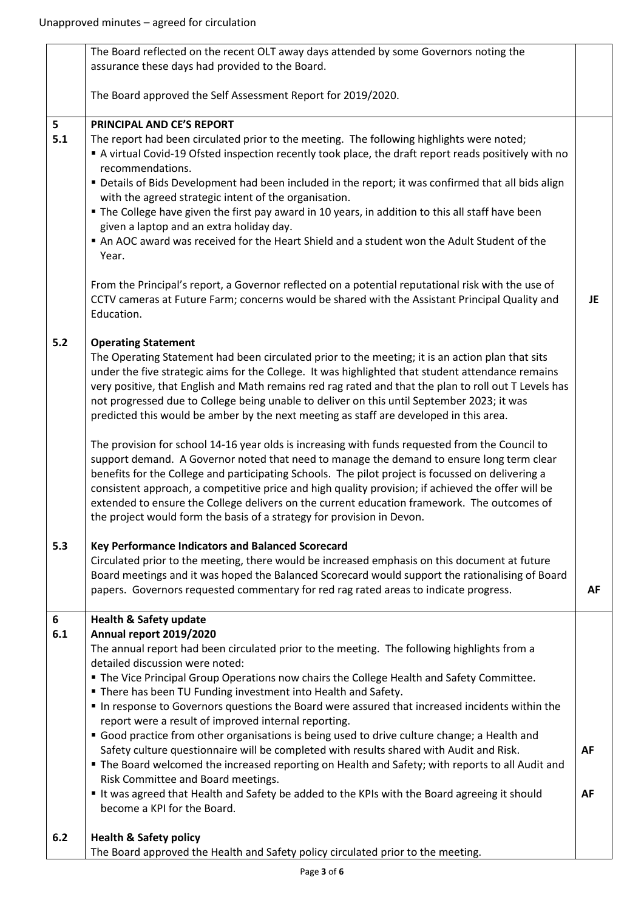|       | The Board reflected on the recent OLT away days attended by some Governors noting the                                          |    |
|-------|--------------------------------------------------------------------------------------------------------------------------------|----|
|       | assurance these days had provided to the Board.                                                                                |    |
|       |                                                                                                                                |    |
|       | The Board approved the Self Assessment Report for 2019/2020.                                                                   |    |
| 5     | PRINCIPAL AND CE'S REPORT                                                                                                      |    |
| 5.1   | The report had been circulated prior to the meeting. The following highlights were noted;                                      |    |
|       | A virtual Covid-19 Ofsted inspection recently took place, the draft report reads positively with no                            |    |
|       | recommendations.                                                                                                               |    |
|       | " Details of Bids Development had been included in the report; it was confirmed that all bids align                            |    |
|       | with the agreed strategic intent of the organisation.                                                                          |    |
|       | • The College have given the first pay award in 10 years, in addition to this all staff have been                              |    |
|       | given a laptop and an extra holiday day.                                                                                       |    |
|       | An AOC award was received for the Heart Shield and a student won the Adult Student of the                                      |    |
|       | Year.                                                                                                                          |    |
|       |                                                                                                                                |    |
|       | From the Principal's report, a Governor reflected on a potential reputational risk with the use of                             |    |
|       | CCTV cameras at Future Farm; concerns would be shared with the Assistant Principal Quality and                                 | JE |
|       | Education.                                                                                                                     |    |
| $5.2$ | <b>Operating Statement</b>                                                                                                     |    |
|       | The Operating Statement had been circulated prior to the meeting; it is an action plan that sits                               |    |
|       | under the five strategic aims for the College. It was highlighted that student attendance remains                              |    |
|       | very positive, that English and Math remains red rag rated and that the plan to roll out T Levels has                          |    |
|       | not progressed due to College being unable to deliver on this until September 2023; it was                                     |    |
|       | predicted this would be amber by the next meeting as staff are developed in this area.                                         |    |
|       | The provision for school 14-16 year olds is increasing with funds requested from the Council to                                |    |
|       | support demand. A Governor noted that need to manage the demand to ensure long term clear                                      |    |
|       | benefits for the College and participating Schools. The pilot project is focussed on delivering a                              |    |
|       | consistent approach, a competitive price and high quality provision; if achieved the offer will be                             |    |
|       | extended to ensure the College delivers on the current education framework. The outcomes of                                    |    |
|       | the project would form the basis of a strategy for provision in Devon.                                                         |    |
| 5.3   | Key Performance Indicators and Balanced Scorecard                                                                              |    |
|       | Circulated prior to the meeting, there would be increased emphasis on this document at future                                  |    |
|       | Board meetings and it was hoped the Balanced Scorecard would support the rationalising of Board                                |    |
|       | papers. Governors requested commentary for red rag rated areas to indicate progress.                                           | AF |
|       |                                                                                                                                |    |
| 6     | <b>Health &amp; Safety update</b>                                                                                              |    |
| 6.1   | Annual report 2019/2020                                                                                                        |    |
|       | The annual report had been circulated prior to the meeting. The following highlights from a<br>detailed discussion were noted: |    |
|       | " The Vice Principal Group Operations now chairs the College Health and Safety Committee.                                      |    |
|       | " There has been TU Funding investment into Health and Safety.                                                                 |    |
|       | In response to Governors questions the Board were assured that increased incidents within the                                  |    |
|       | report were a result of improved internal reporting.                                                                           |    |
|       | Good practice from other organisations is being used to drive culture change; a Health and                                     |    |
|       | Safety culture questionnaire will be completed with results shared with Audit and Risk.                                        | AF |
|       | • The Board welcomed the increased reporting on Health and Safety; with reports to all Audit and                               |    |
|       | Risk Committee and Board meetings.                                                                                             |    |
|       | It was agreed that Health and Safety be added to the KPIs with the Board agreeing it should                                    | AF |
|       | become a KPI for the Board.                                                                                                    |    |
| 6.2   | <b>Health &amp; Safety policy</b>                                                                                              |    |
|       | The Board approved the Health and Safety policy circulated prior to the meeting.                                               |    |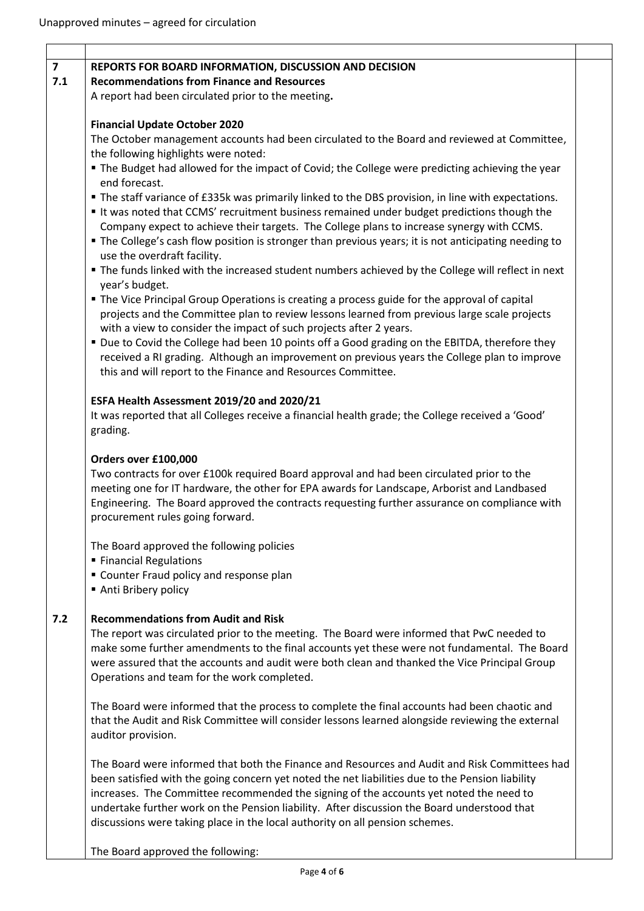| $\overline{7}$<br>7.1 | REPORTS FOR BOARD INFORMATION, DISCUSSION AND DECISION<br><b>Recommendations from Finance and Resources</b><br>A report had been circulated prior to the meeting.                                                                                                                                                                                                                                    |  |
|-----------------------|------------------------------------------------------------------------------------------------------------------------------------------------------------------------------------------------------------------------------------------------------------------------------------------------------------------------------------------------------------------------------------------------------|--|
|                       |                                                                                                                                                                                                                                                                                                                                                                                                      |  |
|                       |                                                                                                                                                                                                                                                                                                                                                                                                      |  |
|                       |                                                                                                                                                                                                                                                                                                                                                                                                      |  |
|                       | <b>Financial Update October 2020</b>                                                                                                                                                                                                                                                                                                                                                                 |  |
|                       | The October management accounts had been circulated to the Board and reviewed at Committee,                                                                                                                                                                                                                                                                                                          |  |
|                       | the following highlights were noted:<br>" The Budget had allowed for the impact of Covid; the College were predicting achieving the year                                                                                                                                                                                                                                                             |  |
|                       | end forecast.                                                                                                                                                                                                                                                                                                                                                                                        |  |
|                       | The staff variance of £335k was primarily linked to the DBS provision, in line with expectations.<br>It was noted that CCMS' recruitment business remained under budget predictions though the<br>Company expect to achieve their targets. The College plans to increase synergy with CCMS.<br>" The College's cash flow position is stronger than previous years; it is not anticipating needing to |  |
|                       | use the overdraft facility.                                                                                                                                                                                                                                                                                                                                                                          |  |
|                       | The funds linked with the increased student numbers achieved by the College will reflect in next<br>year's budget.                                                                                                                                                                                                                                                                                   |  |
|                       | • The Vice Principal Group Operations is creating a process guide for the approval of capital<br>projects and the Committee plan to review lessons learned from previous large scale projects                                                                                                                                                                                                        |  |
|                       | with a view to consider the impact of such projects after 2 years.                                                                                                                                                                                                                                                                                                                                   |  |
|                       | " Due to Covid the College had been 10 points off a Good grading on the EBITDA, therefore they<br>received a RI grading. Although an improvement on previous years the College plan to improve<br>this and will report to the Finance and Resources Committee.                                                                                                                                       |  |
|                       | ESFA Health Assessment 2019/20 and 2020/21                                                                                                                                                                                                                                                                                                                                                           |  |
|                       | It was reported that all Colleges receive a financial health grade; the College received a 'Good'<br>grading.                                                                                                                                                                                                                                                                                        |  |
|                       | Orders over £100,000                                                                                                                                                                                                                                                                                                                                                                                 |  |
|                       | Two contracts for over £100k required Board approval and had been circulated prior to the<br>meeting one for IT hardware, the other for EPA awards for Landscape, Arborist and Landbased<br>Engineering. The Board approved the contracts requesting further assurance on compliance with<br>procurement rules going forward.                                                                        |  |
|                       | The Board approved the following policies                                                                                                                                                                                                                                                                                                                                                            |  |
|                       | ■ Financial Regulations<br>" Counter Fraud policy and response plan<br>Anti Bribery policy                                                                                                                                                                                                                                                                                                           |  |
|                       | <b>Recommendations from Audit and Risk</b>                                                                                                                                                                                                                                                                                                                                                           |  |
| 7.2                   | The report was circulated prior to the meeting. The Board were informed that PwC needed to<br>make some further amendments to the final accounts yet these were not fundamental. The Board<br>were assured that the accounts and audit were both clean and thanked the Vice Principal Group                                                                                                          |  |
|                       | Operations and team for the work completed.                                                                                                                                                                                                                                                                                                                                                          |  |
|                       | The Board were informed that the process to complete the final accounts had been chaotic and<br>that the Audit and Risk Committee will consider lessons learned alongside reviewing the external<br>auditor provision.                                                                                                                                                                               |  |
|                       | The Board were informed that both the Finance and Resources and Audit and Risk Committees had<br>been satisfied with the going concern yet noted the net liabilities due to the Pension liability<br>increases. The Committee recommended the signing of the accounts yet noted the need to<br>undertake further work on the Pension liability. After discussion the Board understood that           |  |

The Board approved the following: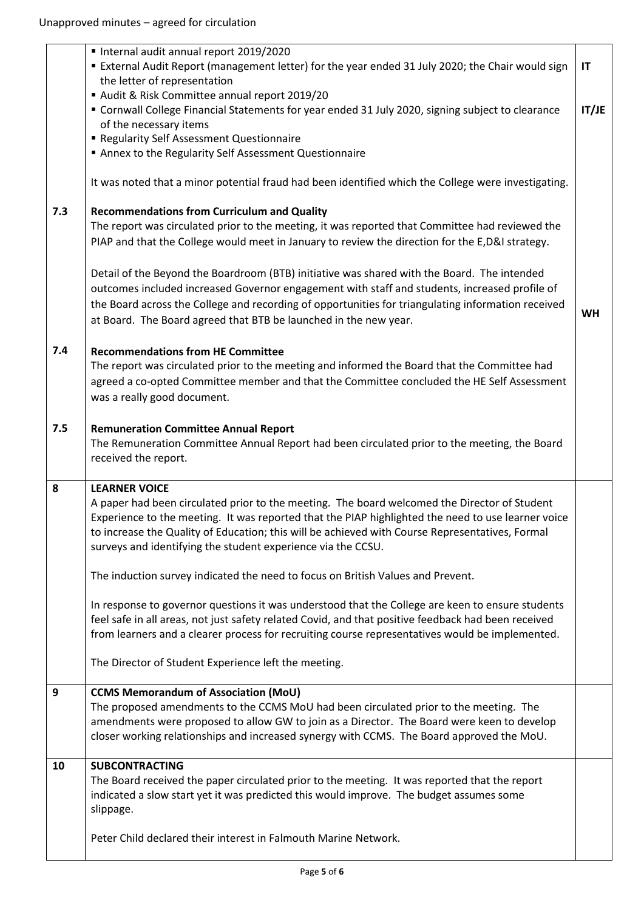|     | Internal audit annual report 2019/2020                                                                                                                                                             |           |
|-----|----------------------------------------------------------------------------------------------------------------------------------------------------------------------------------------------------|-----------|
|     | External Audit Report (management letter) for the year ended 31 July 2020; the Chair would sign                                                                                                    | IT        |
|     | the letter of representation                                                                                                                                                                       |           |
|     | Audit & Risk Committee annual report 2019/20                                                                                                                                                       |           |
|     | " Cornwall College Financial Statements for year ended 31 July 2020, signing subject to clearance                                                                                                  | IT/JE     |
|     | of the necessary items                                                                                                                                                                             |           |
|     | Regularity Self Assessment Questionnaire                                                                                                                                                           |           |
|     | Annex to the Regularity Self Assessment Questionnaire                                                                                                                                              |           |
|     |                                                                                                                                                                                                    |           |
|     | It was noted that a minor potential fraud had been identified which the College were investigating.                                                                                                |           |
|     |                                                                                                                                                                                                    |           |
| 7.3 | <b>Recommendations from Curriculum and Quality</b>                                                                                                                                                 |           |
|     | The report was circulated prior to the meeting, it was reported that Committee had reviewed the                                                                                                    |           |
|     | PIAP and that the College would meet in January to review the direction for the E,D&I strategy.                                                                                                    |           |
|     |                                                                                                                                                                                                    |           |
|     | Detail of the Beyond the Boardroom (BTB) initiative was shared with the Board. The intended                                                                                                        |           |
|     | outcomes included increased Governor engagement with staff and students, increased profile of                                                                                                      |           |
|     | the Board across the College and recording of opportunities for triangulating information received                                                                                                 | <b>WH</b> |
|     | at Board. The Board agreed that BTB be launched in the new year.                                                                                                                                   |           |
|     |                                                                                                                                                                                                    |           |
| 7.4 | <b>Recommendations from HE Committee</b>                                                                                                                                                           |           |
|     | The report was circulated prior to the meeting and informed the Board that the Committee had                                                                                                       |           |
|     | agreed a co-opted Committee member and that the Committee concluded the HE Self Assessment                                                                                                         |           |
|     | was a really good document.                                                                                                                                                                        |           |
|     |                                                                                                                                                                                                    |           |
| 7.5 | <b>Remuneration Committee Annual Report</b>                                                                                                                                                        |           |
|     | The Remuneration Committee Annual Report had been circulated prior to the meeting, the Board                                                                                                       |           |
|     | received the report.                                                                                                                                                                               |           |
|     |                                                                                                                                                                                                    |           |
| 8   | <b>LEARNER VOICE</b>                                                                                                                                                                               |           |
|     | A paper had been circulated prior to the meeting. The board welcomed the Director of Student<br>Experience to the meeting. It was reported that the PIAP highlighted the need to use learner voice |           |
|     | to increase the Quality of Education; this will be achieved with Course Representatives, Formal                                                                                                    |           |
|     | surveys and identifying the student experience via the CCSU.                                                                                                                                       |           |
|     |                                                                                                                                                                                                    |           |
|     | The induction survey indicated the need to focus on British Values and Prevent.                                                                                                                    |           |
|     |                                                                                                                                                                                                    |           |
|     | In response to governor questions it was understood that the College are keen to ensure students                                                                                                   |           |
|     | feel safe in all areas, not just safety related Covid, and that positive feedback had been received                                                                                                |           |
|     | from learners and a clearer process for recruiting course representatives would be implemented.                                                                                                    |           |
|     |                                                                                                                                                                                                    |           |
|     | The Director of Student Experience left the meeting.                                                                                                                                               |           |
|     |                                                                                                                                                                                                    |           |
| 9   | <b>CCMS Memorandum of Association (MoU)</b>                                                                                                                                                        |           |
|     | The proposed amendments to the CCMS MoU had been circulated prior to the meeting. The                                                                                                              |           |
|     | amendments were proposed to allow GW to join as a Director. The Board were keen to develop                                                                                                         |           |
|     | closer working relationships and increased synergy with CCMS. The Board approved the MoU.                                                                                                          |           |
| 10  | <b>SUBCONTRACTING</b>                                                                                                                                                                              |           |
|     | The Board received the paper circulated prior to the meeting. It was reported that the report                                                                                                      |           |
|     | indicated a slow start yet it was predicted this would improve. The budget assumes some                                                                                                            |           |
|     | slippage.                                                                                                                                                                                          |           |
|     |                                                                                                                                                                                                    |           |
|     | Peter Child declared their interest in Falmouth Marine Network.                                                                                                                                    |           |
|     |                                                                                                                                                                                                    |           |